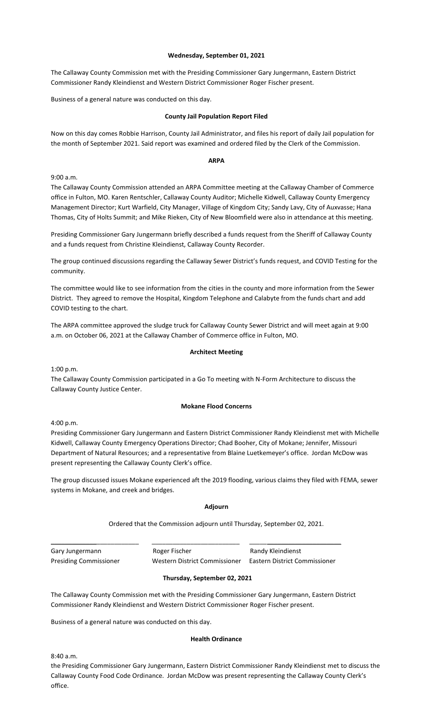# **Wednesday, September 01, 2021**

The Callaway County Commission met with the Presiding Commissioner Gary Jungermann, Eastern District Commissioner Randy Kleindienst and Western District Commissioner Roger Fischer present.

Business of a general nature was conducted on this day.

## **County Jail Population Report Filed**

Now on this day comes Robbie Harrison, County Jail Administrator, and files his report of daily Jail population for the month of September 2021. Said report was examined and ordered filed by the Clerk of the Commission.

## **ARPA**

9:00 a.m.

The Callaway County Commission attended an ARPA Committee meeting at the Callaway Chamber of Commerce office in Fulton, MO. Karen Rentschler, Callaway County Auditor; Michelle Kidwell, Callaway County Emergency Management Director; Kurt Warfield, City Manager, Village of Kingdom City; Sandy Lavy, City of Auxvasse; Hana Thomas, City of Holts Summit; and Mike Rieken, City of New Bloomfield were also in attendance at this meeting.

Presiding Commissioner Gary Jungermann briefly described a funds request from the Sheriff of Callaway County and a funds request from Christine Kleindienst, Callaway County Recorder.

The group continued discussions regarding the Callaway Sewer District's funds request, and COVID Testing for the community.

The committee would like to see information from the cities in the county and more information from the Sewer District. They agreed to remove the Hospital, Kingdom Telephone and Calabyte from the funds chart and add COVID testing to the chart.

The ARPA committee approved the sludge truck for Callaway County Sewer District and will meet again at 9:00 a.m. on October 06, 2021 at the Callaway Chamber of Commerce office in Fulton, MO.

# **Architect Meeting**

1:00 p.m.

The Callaway County Commission participated in a Go To meeting with N-Form Architecture to discuss the Callaway County Justice Center.

#### **Mokane Flood Concerns**

4:00 p.m.

Presiding Commissioner Gary Jungermann and Eastern District Commissioner Randy Kleindienst met with Michelle Kidwell, Callaway County Emergency Operations Director; Chad Booher, City of Mokane; Jennifer, Missouri Department of Natural Resources; and a representative from Blaine Luetkemeyer's office. Jordan McDow was present representing the Callaway County Clerk's office.

The group discussed issues Mokane experienced aft the 2019 flooding, various claims they filed with FEMA, sewer systems in Mokane, and creek and bridges.

#### **Adjourn**

Ordered that the Commission adjourn until Thursday, September 02, 2021.

| Gary Jungermann               | Roger Fischer                 | Randy Kleindienst             |
|-------------------------------|-------------------------------|-------------------------------|
| <b>Presiding Commissioner</b> | Western District Commissioner | Eastern District Commissioner |

# **Thursday, September 02, 2021**

The Callaway County Commission met with the Presiding Commissioner Gary Jungermann, Eastern District Commissioner Randy Kleindienst and Western District Commissioner Roger Fischer present.

Business of a general nature was conducted on this day.

#### **Health Ordinance**

8:40 a.m.

the Presiding Commissioner Gary Jungermann, Eastern District Commissioner Randy Kleindienst met to discuss the Callaway County Food Code Ordinance. Jordan McDow was present representing the Callaway County Clerk's office.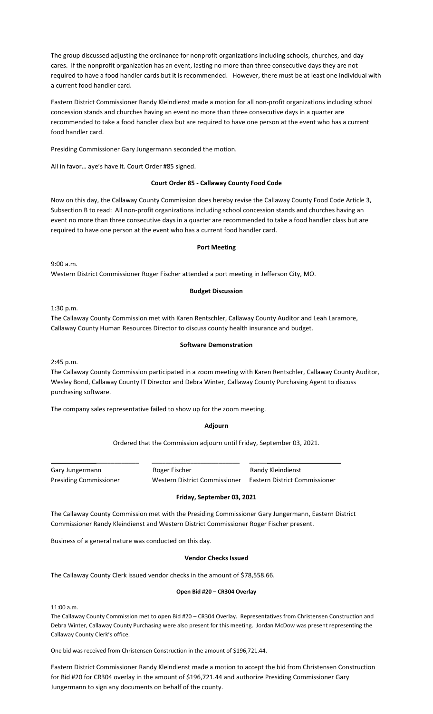The group discussed adjusting the ordinance for nonprofit organizations including schools, churches, and day cares. If the nonprofit organization has an event, lasting no more than three consecutive days they are not required to have a food handler cards but it is recommended. However, there must be at least one individual with a current food handler card.

Eastern District Commissioner Randy Kleindienst made a motion for all non-profit organizations including school concession stands and churches having an event no more than three consecutive days in a quarter are recommended to take a food handler class but are required to have one person at the event who has a current food handler card.

Presiding Commissioner Gary Jungermann seconded the motion.

All in favor… aye's have it. Court Order #85 signed.

# **Court Order 85 - Callaway County Food Code**

Now on this day, the Callaway County Commission does hereby revise the Callaway County Food Code Article 3, Subsection B to read: All non-profit organizations including school concession stands and churches having an event no more than three consecutive days in a quarter are recommended to take a food handler class but are required to have one person at the event who has a current food handler card.

# **Port Meeting**

9:00 a.m. Western District Commissioner Roger Fischer attended a port meeting in Jefferson City, MO.

# **Budget Discussion**

1:30 p.m.

The Callaway County Commission met with Karen Rentschler, Callaway County Auditor and Leah Laramore, Callaway County Human Resources Director to discuss county health insurance and budget.

# **Software Demonstration**

2:45 p.m.

The Callaway County Commission participated in a zoom meeting with Karen Rentschler, Callaway County Auditor, Wesley Bond, Callaway County IT Director and Debra Winter, Callaway County Purchasing Agent to discuss purchasing software.

The company sales representative failed to show up for the zoom meeting.

# **Adjourn**

Ordered that the Commission adjourn until Friday, September 03, 2021.

Gary Jungermann **Roger Fischer** Randy Kleindienst Presiding Commissioner Western District Commissioner Eastern District Commissioner

# **Friday, September 03, 2021**

The Callaway County Commission met with the Presiding Commissioner Gary Jungermann, Eastern District Commissioner Randy Kleindienst and Western District Commissioner Roger Fischer present.

\_\_\_\_\_\_\_\_\_\_\_\_\_\_\_\_\_\_\_\_\_\_\_\_\_ \_\_\_\_\_\_\_\_\_\_\_\_\_\_\_\_\_\_\_\_\_\_\_\_\_ \_\_\_\_\_\_\_\_\_\_\_\_\_\_\_\_\_\_\_\_\_\_\_\_\_\_

Business of a general nature was conducted on this day.

# **Vendor Checks Issued**

The Callaway County Clerk issued vendor checks in the amount of \$78,558.66.

# **Open Bid #20 – CR304 Overlay**

11:00 a.m.

The Callaway County Commission met to open Bid #20 – CR304 Overlay. Representatives from Christensen Construction and Debra Winter, Callaway County Purchasing were also present for this meeting. Jordan McDow was present representing the Callaway County Clerk's office.

One bid was received from Christensen Construction in the amount of \$196,721.44.

Eastern District Commissioner Randy Kleindienst made a motion to accept the bid from Christensen Construction for Bid #20 for CR304 overlay in the amount of \$196,721.44 and authorize Presiding Commissioner Gary Jungermann to sign any documents on behalf of the county.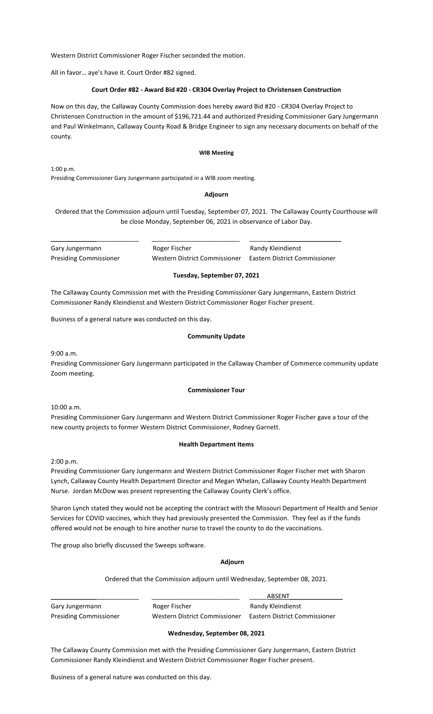Western District Commissioner Roger Fischer seconded the motion.

All in favor… aye's have it. Court Order #82 signed.

## **Court Order #82 - Award Bid #20 - CR304 Overlay Project to Christensen Construction**

Now on this day, the Callaway County Commission does hereby award Bid #20 - CR304 Overlay Project to Christensen Construction in the amount of \$196,721.44 and authorized Presiding Commissioner Gary Jungermann and Paul Winkelmann, Callaway County Road & Bridge Engineer to sign any necessary documents on behalf of the county.

#### **WIB Meeting**

1:00 p.m.

Presiding Commissioner Gary Jungermann participated in a WIB zoom meeting.

#### **Adjourn**

Ordered that the Commission adjourn until Tuesday, September 07, 2021. The Callaway County Courthouse will be close Monday, September 06, 2021 in observance of Labor Day.

Gary Jungermann **Roger Fischer** Randy Kleindienst Presiding Commissioner Western District Commissioner Eastern District Commissioner

## **Tuesday, September 07, 2021**

The Callaway County Commission met with the Presiding Commissioner Gary Jungermann, Eastern District Commissioner Randy Kleindienst and Western District Commissioner Roger Fischer present.

\_\_\_\_\_\_\_\_\_\_\_\_\_\_\_\_\_\_\_\_\_\_\_\_\_ \_\_\_\_\_\_\_\_\_\_\_\_\_\_\_\_\_\_\_\_\_\_\_\_\_ \_\_\_\_\_\_\_\_\_\_\_\_\_\_\_\_\_\_\_\_\_\_\_\_\_\_

Business of a general nature was conducted on this day.

#### **Community Update**

9:00 a.m.

Presiding Commissioner Gary Jungermann participated in the Callaway Chamber of Commerce community update Zoom meeting.

#### **Commissioner Tour**

10:00 a.m.

Presiding Commissioner Gary Jungermann and Western District Commissioner Roger Fischer gave a tour of the new county projects to former Western District Commissioner, Rodney Garnett.

#### **Health Department Items**

2:00 p.m.

Presiding Commissioner Gary Jungermann and Western District Commissioner Roger Fischer met with Sharon Lynch, Callaway County Health Department Director and Megan Whelan, Callaway County Health Department Nurse. Jordan McDow was present representing the Callaway County Clerk's office.

Sharon Lynch stated they would not be accepting the contract with the Missouri Department of Health and Senior Services for COVID vaccines, which they had previously presented the Commission. They feel as if the funds offered would not be enough to hire another nurse to travel the county to do the vaccinations.

The group also briefly discussed the Sweeps software.

#### **Adjourn**

Ordered that the Commission adjourn until Wednesday, September 08, 2021.

\_\_\_\_\_\_\_\_\_\_\_\_\_\_\_\_\_\_\_\_\_\_\_\_\_ \_\_\_\_\_\_\_\_\_\_\_\_\_\_\_\_\_\_\_\_\_\_\_\_\_ \_\_\_\_\_ABSENT\_\_\_\_\_\_\_\_\_\_\_\_\_\_\_ Gary Jungermann **Roger Fischer** Randy Kleindienst Presiding Commissioner Western District Commissioner Eastern District Commissioner

#### **Wednesday, September 08, 2021**

The Callaway County Commission met with the Presiding Commissioner Gary Jungermann, Eastern District Commissioner Randy Kleindienst and Western District Commissioner Roger Fischer present.

Business of a general nature was conducted on this day.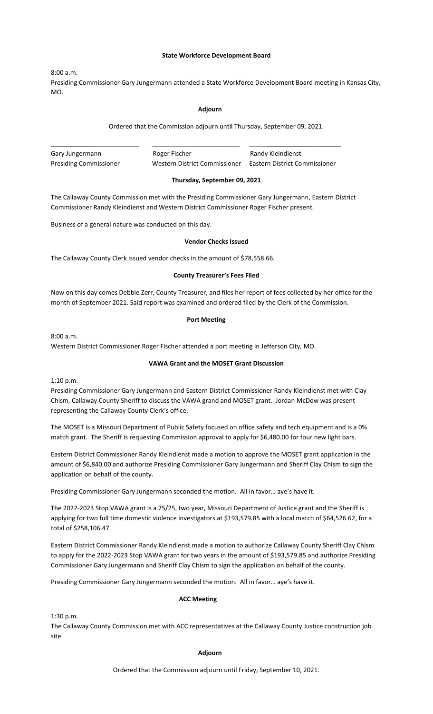### **State Workforce Development Board**

8:00 a.m.

Presiding Commissioner Gary Jungermann attended a State Workforce Development Board meeting in Kansas City, MO.

#### **Adjourn**

Ordered that the Commission adjourn until Thursday, September 09, 2021.

\_\_\_\_\_\_\_\_\_\_\_\_\_\_\_\_\_\_\_\_\_\_\_\_\_ \_\_\_\_\_\_\_\_\_\_\_\_\_\_\_\_\_\_\_\_\_\_\_\_\_ \_\_\_\_\_\_\_\_\_\_\_\_\_\_\_\_\_\_\_\_\_\_\_\_\_\_ Gary Jungermann **Roger Fischer** Randy Kleindienst Presiding Commissioner Western District Commissioner Eastern District Commissioner

## **Thursday, September 09, 2021**

The Callaway County Commission met with the Presiding Commissioner Gary Jungermann, Eastern District Commissioner Randy Kleindienst and Western District Commissioner Roger Fischer present.

Business of a general nature was conducted on this day.

## **Vendor Checks Issued**

The Callaway County Clerk issued vendor checks in the amount of \$78,558.66.

## **County Treasurer's Fees Filed**

Now on this day comes Debbie Zerr, County Treasurer, and files her report of fees collected by her office for the month of September 2021. Said report was examined and ordered filed by the Clerk of the Commission.

#### **Port Meeting**

8:00 a.m.

Western District Commissioner Roger Fischer attended a port meeting in Jefferson City, MO.

# **VAWA Grant and the MOSET Grant Discussion**

1:10 p.m.

Presiding Commissioner Gary Jungermann and Eastern District Commissioner Randy Kleindienst met with Clay Chism, Callaway County Sheriff to discuss the VAWA grand and MOSET grant. Jordan McDow was present representing the Callaway County Clerk's office.

The MOSET is a Missouri Department of Public Safety focused on office safety and tech equipment and is a 0% match grant. The Sheriff is requesting Commission approval to apply for \$6,480.00 for four new light bars.

Eastern District Commissioner Randy Kleindienst made a motion to approve the MOSET grant application in the amount of \$6,840.00 and authorize Presiding Commissioner Gary Jungermann and Sheriff Clay Chism to sign the application on behalf of the county.

Presiding Commissioner Gary Jungermann seconded the motion. All in favor… aye's have it.

The 2022-2023 Stop VAWA grant is a 75/25, two year, Missouri Department of Justice grant and the Sheriff is applying for two full time domestic violence investigators at \$193,579.85 with a local match of \$64,526.62, for a total of \$258,106.47.

Eastern District Commissioner Randy Kleindienst made a motion to authorize Callaway County Sheriff Clay Chism to apply for the 2022-2023 Stop VAWA grant for two years in the amount of \$193,579.85 and authorize Presiding Commissioner Gary Jungermann and Sheriff Clay Chism to sign the application on behalf of the county.

Presiding Commissioner Gary Jungermann seconded the motion. All in favor… aye's have it.

# **ACC Meeting**

1:30 p.m.

The Callaway County Commission met with ACC representatives at the Callaway County Justice construction job site.

### **Adjourn**

Ordered that the Commission adjourn until Friday, September 10, 2021.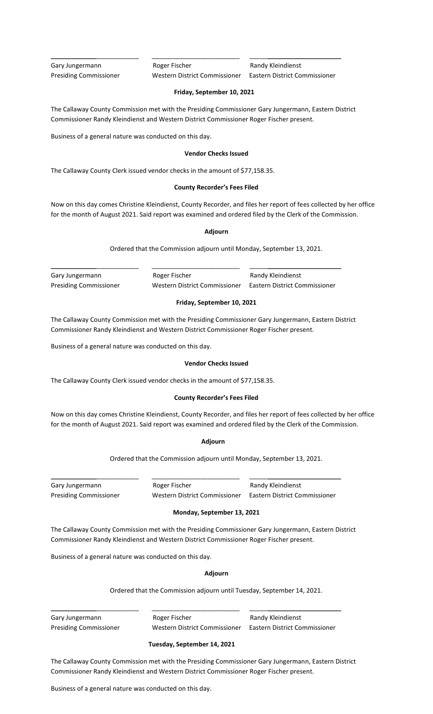Gary Jungermann **Roger Fischer** Randy Kleindienst Presiding Commissioner Western District Commissioner Eastern District Commissioner

## **Friday, September 10, 2021**

The Callaway County Commission met with the Presiding Commissioner Gary Jungermann, Eastern District Commissioner Randy Kleindienst and Western District Commissioner Roger Fischer present.

\_\_\_\_\_\_\_\_\_\_\_\_\_\_\_\_\_\_\_\_\_\_\_\_\_ \_\_\_\_\_\_\_\_\_\_\_\_\_\_\_\_\_\_\_\_\_\_\_\_\_ \_\_\_\_\_\_\_\_\_\_\_\_\_\_\_\_\_\_\_\_\_\_\_\_\_\_

Business of a general nature was conducted on this day.

## **Vendor Checks Issued**

The Callaway County Clerk issued vendor checks in the amount of \$77,158.35.

## **County Recorder's Fees Filed**

Now on this day comes Christine Kleindienst, County Recorder, and files her report of fees collected by her office for the month of August 2021. Said report was examined and ordered filed by the Clerk of the Commission.

#### **Adjourn**

Ordered that the Commission adjourn until Monday, September 13, 2021.

Gary Jungermann **Roger Fischer** Roger Fischer Randy Kleindienst

Presiding Commissioner Western District Commissioner Eastern District Commissioner

\_\_\_\_\_\_\_\_\_\_\_\_\_\_\_\_\_\_\_\_\_\_\_\_\_ \_\_\_\_\_\_\_\_\_\_\_\_\_\_\_\_\_\_\_\_\_\_\_\_\_ \_\_\_\_\_\_\_\_\_\_\_\_\_\_\_\_\_\_\_\_\_\_\_\_\_\_

# **Friday, September 10, 2021**

The Callaway County Commission met with the Presiding Commissioner Gary Jungermann, Eastern District Commissioner Randy Kleindienst and Western District Commissioner Roger Fischer present.

Business of a general nature was conducted on this day.

# **Vendor Checks Issued**

The Callaway County Clerk issued vendor checks in the amount of \$77,158.35.

# **County Recorder's Fees Filed**

Now on this day comes Christine Kleindienst, County Recorder, and files her report of fees collected by her office for the month of August 2021. Said report was examined and ordered filed by the Clerk of the Commission.

#### **Adjourn**

Ordered that the Commission adjourn until Monday, September 13, 2021.

Gary Jungermann **Roger Fischer** Randy Kleindienst

\_\_\_\_\_\_\_\_\_\_\_\_\_\_\_\_\_\_\_\_\_\_\_\_\_ \_\_\_\_\_\_\_\_\_\_\_\_\_\_\_\_\_\_\_\_\_\_\_\_\_ \_\_\_\_\_\_\_\_\_\_\_\_\_\_\_\_\_\_\_\_\_\_\_\_\_\_

Presiding Commissioner Western District Commissioner Eastern District Commissioner

# **Monday, September 13, 2021**

The Callaway County Commission met with the Presiding Commissioner Gary Jungermann, Eastern District Commissioner Randy Kleindienst and Western District Commissioner Roger Fischer present.

Business of a general nature was conducted on this day.

#### **Adjourn**

Ordered that the Commission adjourn until Tuesday, September 14, 2021.

Gary Jungermann **Roger Fischer** Romes Randy Kleindienst

\_\_\_\_\_\_\_\_\_\_\_\_\_\_\_\_\_\_\_\_\_\_\_\_\_ \_\_\_\_\_\_\_\_\_\_\_\_\_\_\_\_\_\_\_\_\_\_\_\_\_ \_\_\_\_\_\_\_\_\_\_\_\_\_\_\_\_\_\_\_\_\_\_\_\_\_\_

Presiding Commissioner Western District Commissioner Eastern District Commissioner

## **Tuesday, September 14, 2021**

The Callaway County Commission met with the Presiding Commissioner Gary Jungermann, Eastern District Commissioner Randy Kleindienst and Western District Commissioner Roger Fischer present.

Business of a general nature was conducted on this day.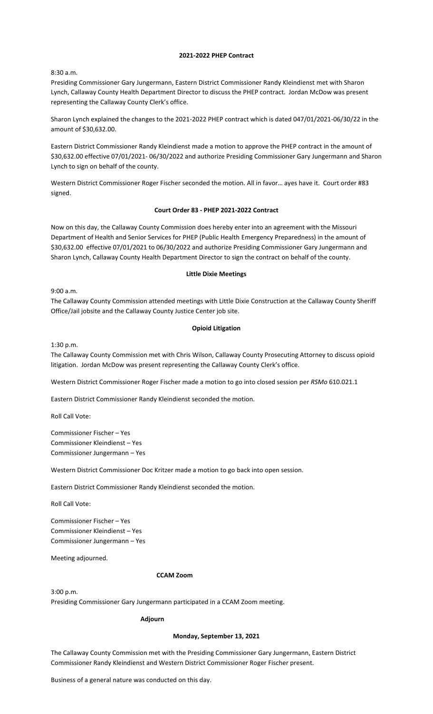## **2021-2022 PHEP Contract**

8:30 a.m.

Presiding Commissioner Gary Jungermann, Eastern District Commissioner Randy Kleindienst met with Sharon Lynch, Callaway County Health Department Director to discuss the PHEP contract. Jordan McDow was present representing the Callaway County Clerk's office.

Sharon Lynch explained the changes to the 2021-2022 PHEP contract which is dated 047/01/2021-06/30/22 in the amount of \$30,632.00.

Eastern District Commissioner Randy Kleindienst made a motion to approve the PHEP contract in the amount of \$30,632.00 effective 07/01/2021- 06/30/2022 and authorize Presiding Commissioner Gary Jungermann and Sharon Lynch to sign on behalf of the county.

Western District Commissioner Roger Fischer seconded the motion. All in favor… ayes have it. Court order #83 signed.

# **Court Order 83 - PHEP 2021-2022 Contract**

Now on this day, the Callaway County Commission does hereby enter into an agreement with the Missouri Department of Health and Senior Services for PHEP (Public Health Emergency Preparedness) in the amount of \$30,632.00 effective 07/01/2021 to 06/30/2022 and authorize Presiding Commissioner Gary Jungermann and Sharon Lynch, Callaway County Health Department Director to sign the contract on behalf of the county.

## **Little Dixie Meetings**

9:00 a.m.

The Callaway County Commission attended meetings with Little Dixie Construction at the Callaway County Sheriff Office/Jail jobsite and the Callaway County Justice Center job site.

## **Opioid Litigation**

1:30 p.m.

The Callaway County Commission met with Chris Wilson, Callaway County Prosecuting Attorney to discuss opioid litigation. Jordan McDow was present representing the Callaway County Clerk's office.

Western District Commissioner Roger Fischer made a motion to go into closed session per *RSMo* 610.021.1

Eastern District Commissioner Randy Kleindienst seconded the motion.

Roll Call Vote:

Commissioner Fischer – Yes Commissioner Kleindienst – Yes Commissioner Jungermann – Yes

Western District Commissioner Doc Kritzer made a motion to go back into open session.

Eastern District Commissioner Randy Kleindienst seconded the motion.

Roll Call Vote:

Commissioner Fischer – Yes Commissioner Kleindienst – Yes Commissioner Jungermann – Yes

Meeting adjourned.

#### **CCAM Zoom**

3:00 p.m.

Presiding Commissioner Gary Jungermann participated in a CCAM Zoom meeting.

# **Adjourn**

## **Monday, September 13, 2021**

The Callaway County Commission met with the Presiding Commissioner Gary Jungermann, Eastern District Commissioner Randy Kleindienst and Western District Commissioner Roger Fischer present.

Business of a general nature was conducted on this day.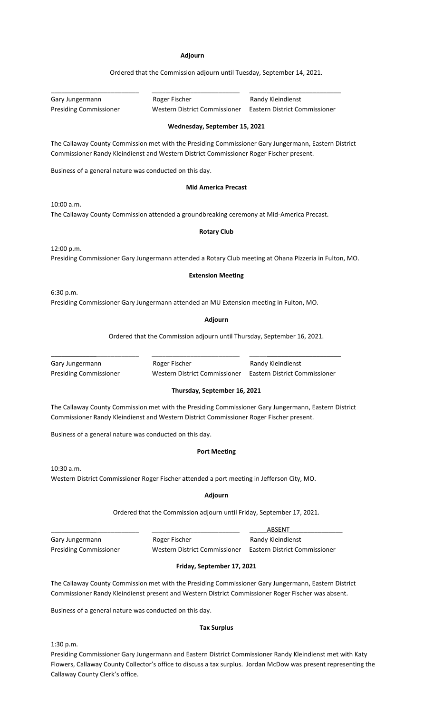### **Adjourn**

Ordered that the Commission adjourn until Tuesday, September 14, 2021. \_\_\_\_\_\_\_\_\_\_\_\_\_\_\_\_\_\_\_\_\_\_\_\_\_ \_\_\_\_\_\_\_\_\_\_\_\_\_\_\_\_\_\_\_\_\_\_\_\_\_ \_\_\_\_\_\_\_\_\_\_\_\_\_\_\_\_\_\_\_\_\_\_\_\_\_\_ Gary Jungermann **Roger Fischer** Randy Kleindienst Presiding Commissioner Western District Commissioner Eastern District Commissioner **Wednesday, September 15, 2021** The Callaway County Commission met with the Presiding Commissioner Gary Jungermann, Eastern District Commissioner Randy Kleindienst and Western District Commissioner Roger Fischer present. Business of a general nature was conducted on this day. **Mid America Precast** 10:00 a.m. The Callaway County Commission attended a groundbreaking ceremony at Mid-America Precast. **Rotary Club** 12:00 p.m. Presiding Commissioner Gary Jungermann attended a Rotary Club meeting at Ohana Pizzeria in Fulton, MO. **Extension Meeting** 6:30 p.m. Presiding Commissioner Gary Jungermann attended an MU Extension meeting in Fulton, MO. **Adjourn** Ordered that the Commission adjourn until Thursday, September 16, 2021. \_\_\_\_\_\_\_\_\_\_\_\_\_\_\_\_\_\_\_\_\_\_\_\_\_ \_\_\_\_\_\_\_\_\_\_\_\_\_\_\_\_\_\_\_\_\_\_\_\_\_ \_\_\_\_\_\_\_\_\_\_\_\_\_\_\_\_\_\_\_\_\_\_\_\_\_\_ Gary Jungermann **Roger Fischer** Randy Kleindienst Presiding Commissioner Western District Commissioner Eastern District Commissioner

**Thursday, September 16, 2021**

The Callaway County Commission met with the Presiding Commissioner Gary Jungermann, Eastern District Commissioner Randy Kleindienst and Western District Commissioner Roger Fischer present.

Business of a general nature was conducted on this day.

### **Port Meeting**

10:30 a.m.

Western District Commissioner Roger Fischer attended a port meeting in Jefferson City, MO.

#### **Adjourn**

Ordered that the Commission adjourn until Friday, September 17, 2021.

|                               |                               | ABSENT                        |
|-------------------------------|-------------------------------|-------------------------------|
| Gary Jungermann               | Roger Fischer                 | Randy Kleindienst             |
| <b>Presiding Commissioner</b> | Western District Commissioner | Eastern District Commissioner |

# **Friday, September 17, 2021**

The Callaway County Commission met with the Presiding Commissioner Gary Jungermann, Eastern District Commissioner Randy Kleindienst present and Western District Commissioner Roger Fischer was absent.

Business of a general nature was conducted on this day.

## **Tax Surplus**

1:30 p.m.

Presiding Commissioner Gary Jungermann and Eastern District Commissioner Randy Kleindienst met with Katy Flowers, Callaway County Collector's office to discuss a tax surplus. Jordan McDow was present representing the Callaway County Clerk's office.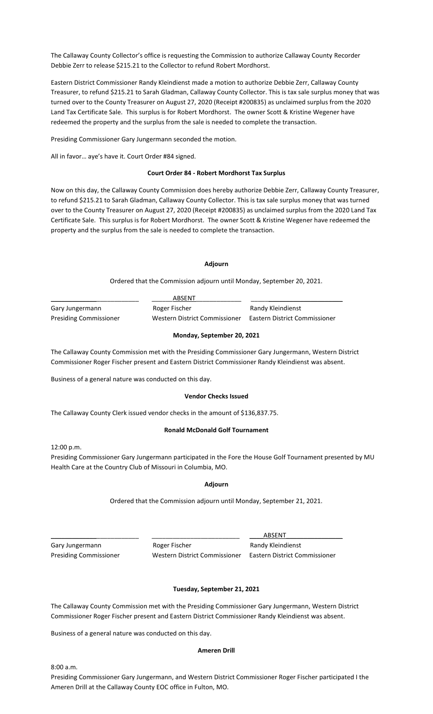The Callaway County Collector's office is requesting the Commission to authorize Callaway County Recorder Debbie Zerr to release \$215.21 to the Collector to refund Robert Mordhorst.

Eastern District Commissioner Randy Kleindienst made a motion to authorize Debbie Zerr, Callaway County Treasurer, to refund \$215.21 to Sarah Gladman, Callaway County Collector. This is tax sale surplus money that was turned over to the County Treasurer on August 27, 2020 (Receipt #200835) as unclaimed surplus from the 2020 Land Tax Certificate Sale. This surplus is for Robert Mordhorst. The owner Scott & Kristine Wegener have redeemed the property and the surplus from the sale is needed to complete the transaction.

Presiding Commissioner Gary Jungermann seconded the motion.

All in favor… aye's have it. Court Order #84 signed.

#### **Court Order 84 - Robert Mordhorst Tax Surplus**

Now on this day, the Callaway County Commission does hereby authorize Debbie Zerr, Callaway County Treasurer, to refund \$215.21 to Sarah Gladman, Callaway County Collector. This is tax sale surplus money that was turned over to the County Treasurer on August 27, 2020 (Receipt #200835) as unclaimed surplus from the 2020 Land Tax Certificate Sale. This surplus is for Robert Mordhorst. The owner Scott & Kristine Wegener have redeemed the property and the surplus from the sale is needed to complete the transaction.

## **Adjourn**

Ordered that the Commission adjourn until Monday, September 20, 2021.

|                               | ABSENT                        |                               |
|-------------------------------|-------------------------------|-------------------------------|
| Gary Jungermann               | Roger Fischer                 | Randy Kleindienst             |
| <b>Presiding Commissioner</b> | Western District Commissioner | Eastern District Commissioner |

# **Monday, September 20, 2021**

The Callaway County Commission met with the Presiding Commissioner Gary Jungermann, Western District Commissioner Roger Fischer present and Eastern District Commissioner Randy Kleindienst was absent.

Business of a general nature was conducted on this day.

#### **Vendor Checks Issued**

The Callaway County Clerk issued vendor checks in the amount of \$136,837.75.

#### **Ronald McDonald Golf Tournament**

12:00 p.m.

Presiding Commissioner Gary Jungermann participated in the Fore the House Golf Tournament presented by MU Health Care at the Country Club of Missouri in Columbia, MO.

#### **Adjourn**

Ordered that the Commission adjourn until Monday, September 21, 2021.

Gary Jungermann **Roger Fischer** Randy Kleindienst

\_\_\_\_\_\_\_\_\_\_\_\_\_\_\_\_\_\_\_\_\_\_\_\_\_ \_\_\_\_\_\_\_\_\_\_\_\_\_\_\_\_\_\_\_\_\_\_\_\_\_ \_\_\_\_ABSENT\_\_\_\_\_\_\_\_\_\_\_\_\_\_\_\_ Presiding Commissioner Western District Commissioner Eastern District Commissioner

#### **Tuesday, September 21, 2021**

The Callaway County Commission met with the Presiding Commissioner Gary Jungermann, Western District Commissioner Roger Fischer present and Eastern District Commissioner Randy Kleindienst was absent.

Business of a general nature was conducted on this day.

#### **Ameren Drill**

8:00 a.m.

Presiding Commissioner Gary Jungermann, and Western District Commissioner Roger Fischer participated I the Ameren Drill at the Callaway County EOC office in Fulton, MO.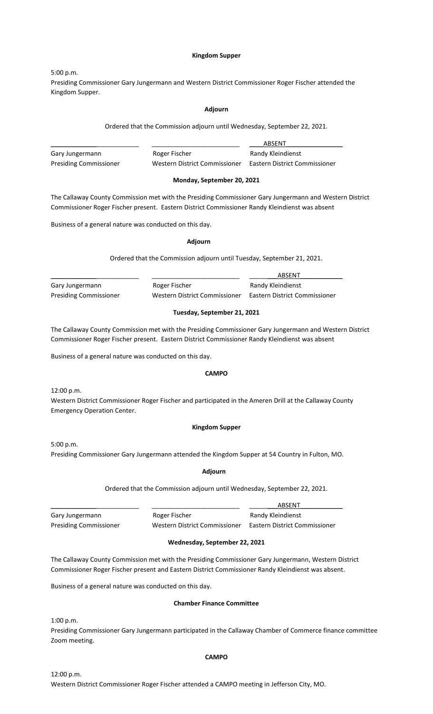## **Kingdom Supper**

5:00 p.m.

Presiding Commissioner Gary Jungermann and Western District Commissioner Roger Fischer attended the Kingdom Supper.

#### **Adjourn**

Ordered that the Commission adjourn until Wednesday, September 22, 2021.

|                               |                               | ABSENT                        |
|-------------------------------|-------------------------------|-------------------------------|
| Gary Jungermann               | Roger Fischer                 | Randy Kleindienst             |
| <b>Presiding Commissioner</b> | Western District Commissioner | Eastern District Commissioner |

## **Monday, September 20, 2021**

The Callaway County Commission met with the Presiding Commissioner Gary Jungermann and Western District Commissioner Roger Fischer present. Eastern District Commissioner Randy Kleindienst was absent

Business of a general nature was conducted on this day.

#### **Adjourn**

Ordered that the Commission adjourn until Tuesday, September 21, 2021.

|                               |                               | ABSENT                        |
|-------------------------------|-------------------------------|-------------------------------|
| Gary Jungermann               | Roger Fischer                 | Randy Kleindienst             |
| <b>Presiding Commissioner</b> | Western District Commissioner | Eastern District Commissioner |

## **Tuesday, September 21, 2021**

The Callaway County Commission met with the Presiding Commissioner Gary Jungermann and Western District Commissioner Roger Fischer present. Eastern District Commissioner Randy Kleindienst was absent

Business of a general nature was conducted on this day.

#### **CAMPO**

12:00 p.m.

Western District Commissioner Roger Fischer and participated in the Ameren Drill at the Callaway County Emergency Operation Center.

### **Kingdom Supper**

5:00 p.m. Presiding Commissioner Gary Jungermann attended the Kingdom Supper at 54 Country in Fulton, MO.

#### **Adjourn**

Ordered that the Commission adjourn until Wednesday, September 22, 2021.

Gary Jungermann **Roger Fischer** Randy Kleindienst Presiding Commissioner Western District Commissioner Eastern District Commissioner

\_\_\_\_\_\_\_\_\_\_\_\_\_\_\_\_\_\_\_\_\_\_\_\_\_ \_\_\_\_\_\_\_\_\_\_\_\_\_\_\_\_\_\_\_\_\_\_\_\_\_ \_\_\_\_\_\_\_\_ABSENT\_\_\_\_\_\_\_\_\_\_\_\_

# **Wednesday, September 22, 2021**

The Callaway County Commission met with the Presiding Commissioner Gary Jungermann, Western District Commissioner Roger Fischer present and Eastern District Commissioner Randy Kleindienst was absent.

Business of a general nature was conducted on this day.

#### **Chamber Finance Committee**

1:00 p.m.

Presiding Commissioner Gary Jungermann participated in the Callaway Chamber of Commerce finance committee Zoom meeting.

## **CAMPO**

12:00 p.m. Western District Commissioner Roger Fischer attended a CAMPO meeting in Jefferson City, MO.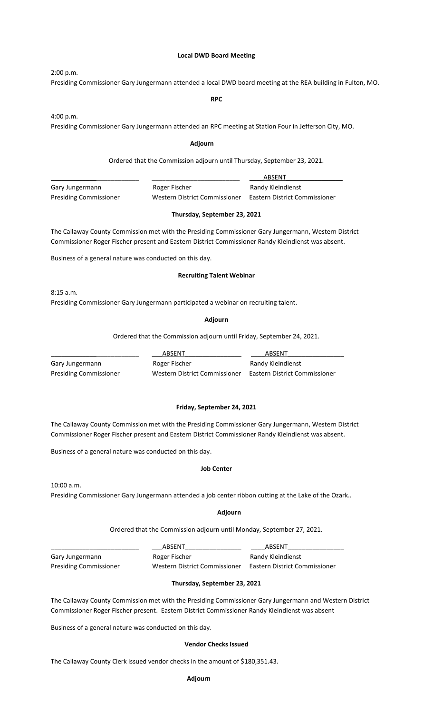## **Local DWD Board Meeting**

2:00 p.m. Presiding Commissioner Gary Jungermann attended a local DWD board meeting at the REA building in Fulton, MO.

#### **RPC**

4:00 p.m.

Presiding Commissioner Gary Jungermann attended an RPC meeting at Station Four in Jefferson City, MO.

#### **Adjourn**

Ordered that the Commission adjourn until Thursday, September 23, 2021.

|                               |                               | ABSENT                        |
|-------------------------------|-------------------------------|-------------------------------|
| Gary Jungermann               | Roger Fischer                 | Randy Kleindienst             |
| <b>Presiding Commissioner</b> | Western District Commissioner | Eastern District Commissioner |

## **Thursday, September 23, 2021**

The Callaway County Commission met with the Presiding Commissioner Gary Jungermann, Western District Commissioner Roger Fischer present and Eastern District Commissioner Randy Kleindienst was absent.

Business of a general nature was conducted on this day.

## **Recruiting Talent Webinar**

8:15 a.m.

Presiding Commissioner Gary Jungermann participated a webinar on recruiting talent.

#### **Adjourn**

Ordered that the Commission adjourn until Friday, September 24, 2021.

|                               | ABSENT                        | ABSENT                        |
|-------------------------------|-------------------------------|-------------------------------|
| Gary Jungermann               | Roger Fischer                 | Randy Kleindienst             |
| <b>Presiding Commissioner</b> | Western District Commissioner | Eastern District Commissioner |

## **Friday, September 24, 2021**

The Callaway County Commission met with the Presiding Commissioner Gary Jungermann, Western District Commissioner Roger Fischer present and Eastern District Commissioner Randy Kleindienst was absent.

Business of a general nature was conducted on this day.

#### **Job Center**

10:00 a.m.

Presiding Commissioner Gary Jungermann attended a job center ribbon cutting at the Lake of the Ozark..

#### **Adjourn**

Ordered that the Commission adjourn until Monday, September 27, 2021.

|                               | ABSENT                        | ABSENT                        |
|-------------------------------|-------------------------------|-------------------------------|
| Gary Jungermann               | Roger Fischer                 | Randy Kleindienst             |
| <b>Presiding Commissioner</b> | Western District Commissioner | Eastern District Commissioner |

# **Thursday, September 23, 2021**

The Callaway County Commission met with the Presiding Commissioner Gary Jungermann and Western District Commissioner Roger Fischer present. Eastern District Commissioner Randy Kleindienst was absent

Business of a general nature was conducted on this day.

### **Vendor Checks Issued**

The Callaway County Clerk issued vendor checks in the amount of \$180,351.43.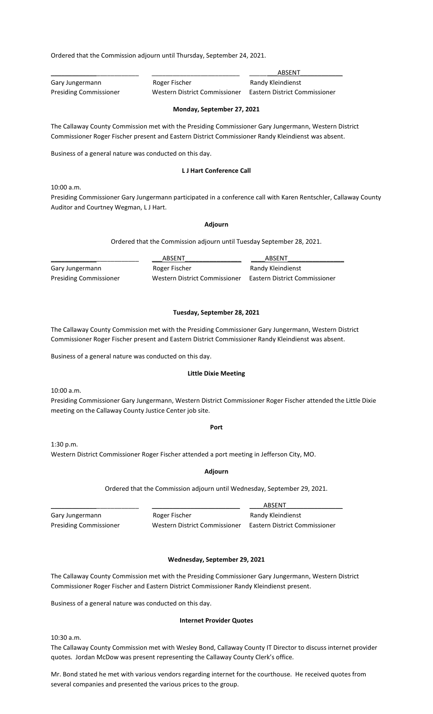Ordered that the Commission adjourn until Thursday, September 24, 2021.

|                               |                               | ABSENT                        |
|-------------------------------|-------------------------------|-------------------------------|
| Gary Jungermann               | Roger Fischer                 | Randy Kleindienst             |
| <b>Presiding Commissioner</b> | Western District Commissioner | Eastern District Commissioner |

## **Monday, September 27, 2021**

The Callaway County Commission met with the Presiding Commissioner Gary Jungermann, Western District Commissioner Roger Fischer present and Eastern District Commissioner Randy Kleindienst was absent.

Business of a general nature was conducted on this day.

# **L J Hart Conference Call**

10:00 a.m.

Presiding Commissioner Gary Jungermann participated in a conference call with Karen Rentschler, Callaway County Auditor and Courtney Wegman, L J Hart.

## **Adjourn**

Ordered that the Commission adjourn until Tuesday September 28, 2021.

|                               | ABSENT                        | ABSENT                        |
|-------------------------------|-------------------------------|-------------------------------|
| Gary Jungermann               | Roger Fischer                 | Randy Kleindienst             |
| <b>Presiding Commissioner</b> | Western District Commissioner | Eastern District Commissioner |

## **Tuesday, September 28, 2021**

The Callaway County Commission met with the Presiding Commissioner Gary Jungermann, Western District Commissioner Roger Fischer present and Eastern District Commissioner Randy Kleindienst was absent.

Business of a general nature was conducted on this day.

# **Little Dixie Meeting**

10:00 a.m.

Presiding Commissioner Gary Jungermann, Western District Commissioner Roger Fischer attended the Little Dixie meeting on the Callaway County Justice Center job site.

#### **Port**

1:30 p.m. Western District Commissioner Roger Fischer attended a port meeting in Jefferson City, MO.

**Adjourn**

Ordered that the Commission adjourn until Wednesday, September 29, 2021.

Gary Jungermann **Roger Fischer** Randy Kleindienst Presiding Commissioner Western District Commissioner Eastern District Commissioner

\_\_\_\_\_\_\_\_\_\_\_\_\_\_\_\_\_\_\_\_\_\_\_\_\_ \_\_\_\_\_\_\_\_\_\_\_\_\_\_\_\_\_\_\_\_\_\_\_\_\_ \_\_\_\_ABSENT\_\_\_\_\_\_\_\_\_\_\_\_\_\_\_\_

# **Wednesday, September 29, 2021**

The Callaway County Commission met with the Presiding Commissioner Gary Jungermann, Western District Commissioner Roger Fischer and Eastern District Commissioner Randy Kleindienst present.

Business of a general nature was conducted on this day.

#### **Internet Provider Quotes**

10:30 a.m.

The Callaway County Commission met with Wesley Bond, Callaway County IT Director to discuss internet provider quotes. Jordan McDow was present representing the Callaway County Clerk's office.

Mr. Bond stated he met with various vendors regarding internet for the courthouse. He received quotes from several companies and presented the various prices to the group.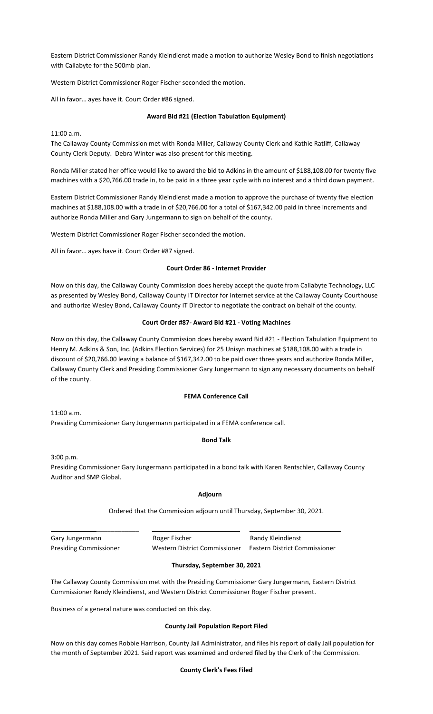Eastern District Commissioner Randy Kleindienst made a motion to authorize Wesley Bond to finish negotiations with Callabyte for the 500mb plan.

Western District Commissioner Roger Fischer seconded the motion.

All in favor… ayes have it. Court Order #86 signed.

# **Award Bid #21 (Election Tabulation Equipment)**

11:00 a.m.

The Callaway County Commission met with Ronda Miller, Callaway County Clerk and Kathie Ratliff, Callaway County Clerk Deputy. Debra Winter was also present for this meeting.

Ronda Miller stated her office would like to award the bid to Adkins in the amount of \$188,108.00 for twenty five machines with a \$20,766.00 trade in, to be paid in a three year cycle with no interest and a third down payment.

Eastern District Commissioner Randy Kleindienst made a motion to approve the purchase of twenty five election machines at \$188,108.00 with a trade in of \$20,766.00 for a total of \$167,342.00 paid in three increments and authorize Ronda Miller and Gary Jungermann to sign on behalf of the county.

Western District Commissioner Roger Fischer seconded the motion.

All in favor… ayes have it. Court Order #87 signed.

# **Court Order 86 - Internet Provider**

Now on this day, the Callaway County Commission does hereby accept the quote from Callabyte Technology, LLC as presented by Wesley Bond, Callaway County IT Director for Internet service at the Callaway County Courthouse and authorize Wesley Bond, Callaway County IT Director to negotiate the contract on behalf of the county.

# **Court Order #87- Award Bid #21 - Voting Machines**

Now on this day, the Callaway County Commission does hereby award Bid #21 - Election Tabulation Equipment to Henry M. Adkins & Son, Inc. (Adkins Election Services) for 25 Unisyn machines at \$188,108.00 with a trade in discount of \$20,766.00 leaving a balance of \$167,342.00 to be paid over three years and authorize Ronda Miller, Callaway County Clerk and Presiding Commissioner Gary Jungermann to sign any necessary documents on behalf of the county.

# **FEMA Conference Call**

11:00 a.m. Presiding Commissioner Gary Jungermann participated in a FEMA conference call.

# **Bond Talk**

3:00 p.m.

Presiding Commissioner Gary Jungermann participated in a bond talk with Karen Rentschler, Callaway County Auditor and SMP Global.

# **Adjourn**

Ordered that the Commission adjourn until Thursday, September 30, 2021.

| Gary Jungermann               | Roger Fischer                 | Randy Kleindienst             |
|-------------------------------|-------------------------------|-------------------------------|
| <b>Presiding Commissioner</b> | Western District Commissioner | Eastern District Commissioner |

# **Thursday, September 30, 2021**

The Callaway County Commission met with the Presiding Commissioner Gary Jungermann, Eastern District Commissioner Randy Kleindienst, and Western District Commissioner Roger Fischer present.

Business of a general nature was conducted on this day.

# **County Jail Population Report Filed**

Now on this day comes Robbie Harrison, County Jail Administrator, and files his report of daily Jail population for the month of September 2021. Said report was examined and ordered filed by the Clerk of the Commission.

# **County Clerk's Fees Filed**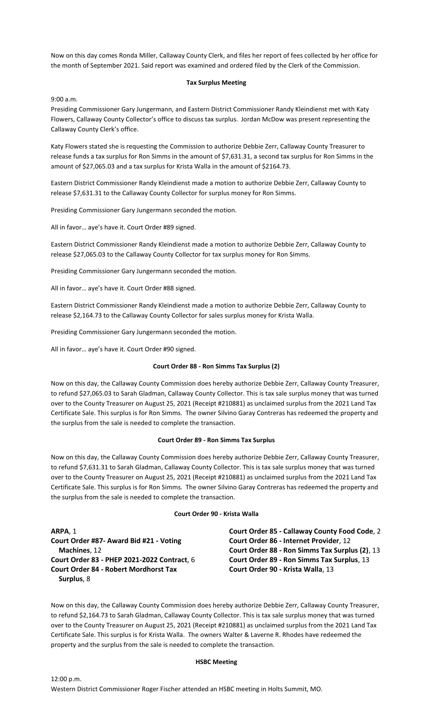Now on this day comes Ronda Miller, Callaway County Clerk, and files her report of fees collected by her office for the month of September 2021. Said report was examined and ordered filed by the Clerk of the Commission.

# **Tax Surplus Meeting**

9:00 a.m.

Presiding Commissioner Gary Jungermann, and Eastern District Commissioner Randy Kleindienst met with Katy Flowers, Callaway County Collector's office to discuss tax surplus. Jordan McDow was present representing the Callaway County Clerk's office.

Katy Flowers stated she is requesting the Commission to authorize Debbie Zerr, Callaway County Treasurer to release funds a tax surplus for Ron Simms in the amount of \$7,631.31, a second tax surplus for Ron Simms in the amount of \$27,065.03 and a tax surplus for Krista Walla in the amount of \$2164.73.

Eastern District Commissioner Randy Kleindienst made a motion to authorize Debbie Zerr, Callaway County to release \$7,631.31 to the Callaway County Collector for surplus money for Ron Simms.

Presiding Commissioner Gary Jungermann seconded the motion.

All in favor… aye's have it. Court Order #89 signed.

Eastern District Commissioner Randy Kleindienst made a motion to authorize Debbie Zerr, Callaway County to release \$27,065.03 to the Callaway County Collector for tax surplus money for Ron Simms.

Presiding Commissioner Gary Jungermann seconded the motion.

All in favor… aye's have it. Court Order #88 signed.

Eastern District Commissioner Randy Kleindienst made a motion to authorize Debbie Zerr, Callaway County to release \$2,164.73 to the Callaway County Collector for sales surplus money for Krista Walla.

Presiding Commissioner Gary Jungermann seconded the motion.

All in favor… aye's have it. Court Order #90 signed.

#### **Court Order 88 - Ron Simms Tax Surplus (2)**

Now on this day, the Callaway County Commission does hereby authorize Debbie Zerr, Callaway County Treasurer, to refund \$27,065.03 to Sarah Gladman, Callaway County Collector. This is tax sale surplus money that was turned over to the County Treasurer on August 25, 2021 (Receipt #210881) as unclaimed surplus from the 2021 Land Tax Certificate Sale. This surplus is for Ron Simms. The owner Silvino Garay Contreras has redeemed the property and the surplus from the sale is needed to complete the transaction.

### **Court Order 89 - Ron Simms Tax Surplus**

Now on this day, the Callaway County Commission does hereby authorize Debbie Zerr, Callaway County Treasurer, to refund \$7,631.31 to Sarah Gladman, Callaway County Collector. This is tax sale surplus money that was turned over to the County Treasurer on August 25, 2021 (Receipt #210881) as unclaimed surplus from the 2021 Land Tax Certificate Sale. This surplus is for Ron Simms. The owner Silvino Garay Contreras has redeemed the property and the surplus from the sale is needed to complete the transaction.

#### **Court Order 90 - Krista Walla**

**ARPA**, 1 **Court Order #87- Award Bid #21 - Voting Machines**, 12 **Court Order 83 - PHEP 2021-2022 Contract**, 6 **Court Order 84 - Robert Mordhorst Tax Surplus**, 8

**Court Order 85 - Callaway County Food Code**, 2 **Court Order 86 - Internet Provider**, 12 **Court Order 88 - Ron Simms Tax Surplus (2)**, 13 **Court Order 89 - Ron Simms Tax Surplus**, 13 **Court Order 90 - Krista Walla**, 13

Now on this day, the Callaway County Commission does hereby authorize Debbie Zerr, Callaway County Treasurer, to refund \$2,164.73 to Sarah Gladman, Callaway County Collector. This is tax sale surplus money that was turned over to the County Treasurer on August 25, 2021 (Receipt #210881) as unclaimed surplus from the 2021 Land Tax Certificate Sale. This surplus is for Krista Walla. The owners Walter & Laverne R. Rhodes have redeemed the property and the surplus from the sale is needed to complete the transaction.

### **HSBC Meeting**